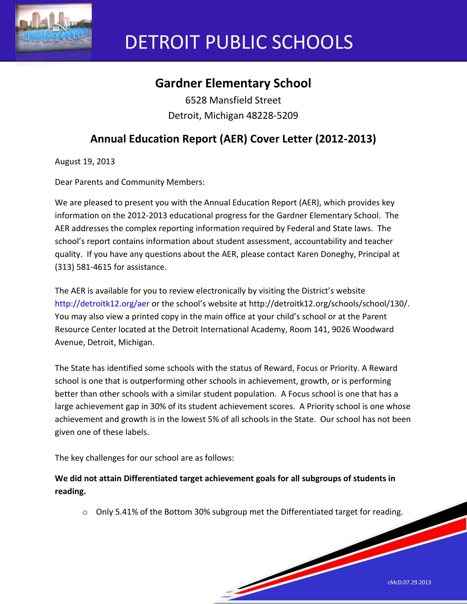

# DETROIT PUBLIC SCHOOLS

# **Gardner Elementary School**

6528 Mansfield Street Detroit, Michigan 48228-5209

## **Annual Education Report (AER) Cover Letter (2012-2013)**

August 19, 2013

Dear Parents and Community Members:

We are pleased to present you with the Annual Education Report (AER), which provides key information on the 2012-2013 educational progress for the Gardner Elementary School. The AER addresses the complex reporting information required by Federal and State laws. The school's report contains information about student assessment, accountability and teacher quality. If you have any questions about the AER, please contact Karen Doneghy, Principal at (313) 581-4615 for assistance.

The AER is available for you to review electronically by visiting the District's website http://detroitk12.org/aer or the school's website at http://detroitk12.org/schools/school/130/. You may also view a printed copy in the main office at your child's school or at the Parent Resource Center located at the Detroit International Academy, Room 141, 9026 Woodward Avenue, Detroit, Michigan.

The State has identified some schools with the status of Reward, Focus or Priority. A Reward school is one that is outperforming other schools in achievement, growth, or is performing better than other schools with a similar student population. A Focus school is one that has a large achievement gap in 30% of its student achievement scores. A Priority school is one whose achievement and growth is in the lowest 5% of all schools in the State. Our school has not been given one of these labels.

The key challenges for our school are as follows:

**We did not attain Differentiated target achievement goals for all subgroups of students in reading.**

o Only 5.41% of the Bottom 30% subgroup met the Differentiated target for reading.

**South Contract Contract Contract Contract Contract Contract Contract Contract Contract Contract Contract Contract Contract Contract Contract Contract Contract Contract Contract Contract Contract Contract Contract Contract**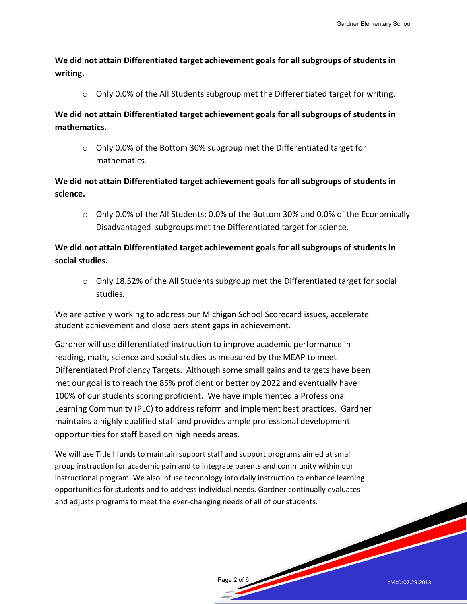**We did not attain Differentiated target achievement goals for all subgroups of students in writing.** 

 $\circ$  Only 0.0% of the All Students subgroup met the Differentiated target for writing.

**We did not attain Differentiated target achievement goals for all subgroups of students in mathematics.** 

o Only 0.0% of the Bottom 30% subgroup met the Differentiated target for mathematics.

## **We did not attain Differentiated target achievement goals for all subgroups of students in science.**

 $\circ$  Only 0.0% of the All Students; 0.0% of the Bottom 30% and 0.0% of the Economically Disadvantaged subgroups met the Differentiated target for science.

**We did not attain Differentiated target achievement goals for all subgroups of students in social studies.** 

 $\circ$  Only 18.52% of the All Students subgroup met the Differentiated target for social studies.

We are actively working to address our Michigan School Scorecard issues, accelerate student achievement and close persistent gaps in achievement.

Gardner will use differentiated instruction to improve academic performance in reading, math, science and social studies as measured by the MEAP to meet Differentiated Proficiency Targets. Although some small gains and targets have been met our goal is to reach the 85% proficient or better by 2022 and eventually have 100% of our students scoring proficient. We have implemented a Professional Learning Community (PLC) to address reform and implement best practices. Gardner maintains a highly qualified staff and provides ample professional development opportunities for staff based on high needs areas.

We will use Title I funds to maintain support staff and support programs aimed at small group instruction for academic gain and to integrate parents and community within our instructional program. We also infuse technology into daily instruction to enhance learning opportunities for students and to address individual needs. Gardner continually evaluates and adjusts programs to meet the ever-changing needs of all of our students.

Page 2 of 6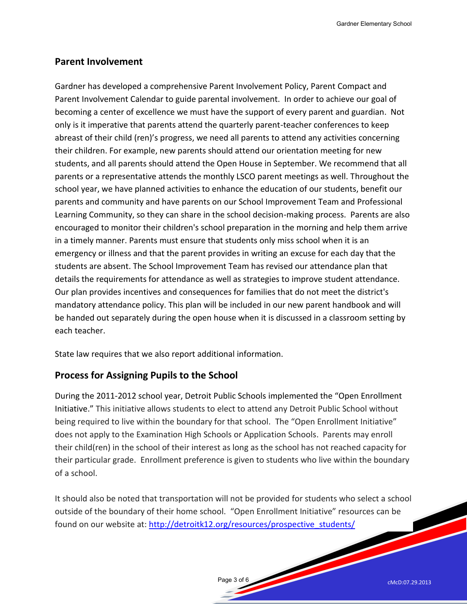Gardner Elementary School

## **Parent Involvement**

Gardner has developed a comprehensive Parent Involvement Policy, Parent Compact and Parent Involvement Calendar to guide parental involvement. In order to achieve our goal of becoming a center of excellence we must have the support of every parent and guardian. Not only is it imperative that parents attend the quarterly parent-teacher conferences to keep abreast of their child (ren)'s progress, we need all parents to attend any activities concerning their children. For example, new parents should attend our orientation meeting for new students, and all parents should attend the Open House in September. We recommend that all parents or a representative attends the monthly LSCO parent meetings as well. Throughout the school year, we have planned activities to enhance the education of our students, benefit our parents and community and have parents on our School Improvement Team and Professional Learning Community, so they can share in the school decision-making process. Parents are also encouraged to monitor their children's school preparation in the morning and help them arrive in a timely manner. Parents must ensure that students only miss school when it is an emergency or illness and that the parent provides in writing an excuse for each day that the students are absent. The School Improvement Team has revised our attendance plan that details the requirements for attendance as well as strategies to improve student attendance. Our plan provides incentives and consequences for families that do not meet the district's mandatory attendance policy. This plan will be included in our new parent handbook and will be handed out separately during the open house when it is discussed in a classroom setting by each teacher.

State law requires that we also report additional information.

## **Process for Assigning Pupils to the School**

During the 2011-2012 school year, Detroit Public Schools implemented the "Open Enrollment Initiative." This initiative allows students to elect to attend any Detroit Public School without being required to live within the boundary for that school. The "Open Enrollment Initiative" does not apply to the Examination High Schools or Application Schools. Parents may enroll their child(ren) in the school of their interest as long as the school has not reached capacity for their particular grade. Enrollment preference is given to students who live within the boundary of a school.

It should also be noted that transportation will not be provided for students who select a school outside of the boundary of their home school. "Open Enrollment Initiative" resources can be found on our website at: [http://detroitk12.org/resources/prospective\\_students/](http://detroitk12.org/resources/prospective_students/)

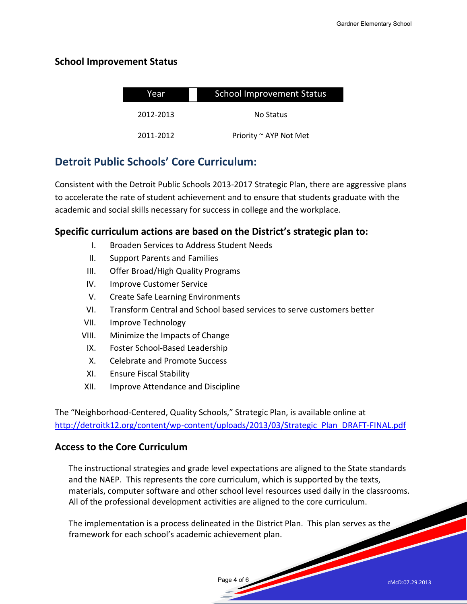## **School Improvement Status**

| Year      | <b>School Improvement Status</b> |  |
|-----------|----------------------------------|--|
| 2012-2013 | No Status                        |  |
| 2011-2012 | Priority ~ AYP Not Met           |  |

## **Detroit Public Schools' Core Curriculum:**

Consistent with the Detroit Public Schools 2013-2017 Strategic Plan, there are aggressive plans to accelerate the rate of student achievement and to ensure that students graduate with the academic and social skills necessary for success in college and the workplace.

## **Specific curriculum actions are based on the District's strategic plan to:**

- I. Broaden Services to Address Student Needs
- II. Support Parents and Families
- III. Offer Broad/High Quality Programs
- IV. Improve Customer Service
- V. Create Safe Learning Environments
- VI. Transform Central and School based services to serve customers better
- VII. Improve Technology
- VIII. Minimize the Impacts of Change
	- IX. Foster School-Based Leadership
	- X. Celebrate and Promote Success
	- XI. Ensure Fiscal Stability
- XII. Improve Attendance and Discipline

The "Neighborhood-Centered, Quality Schools," Strategic Plan, is available online at [http://detroitk12.org/content/wp-content/uploads/2013/03/Strategic\\_Plan\\_DRAFT-FINAL.pdf](http://detroitk12.org/content/wp-content/uploads/2013/03/Strategic_Plan_DRAFT-FINAL.pdf)

## **Access to the Core Curriculum**

The instructional strategies and grade level expectations are aligned to the State standards and the NAEP. This represents the core curriculum, which is supported by the texts, materials, computer software and other school level resources used daily in the classrooms. All of the professional development activities are aligned to the core curriculum.

Page 4 of 6

The implementation is a process delineated in the District Plan. This plan serves as the framework for each school's academic achievement plan.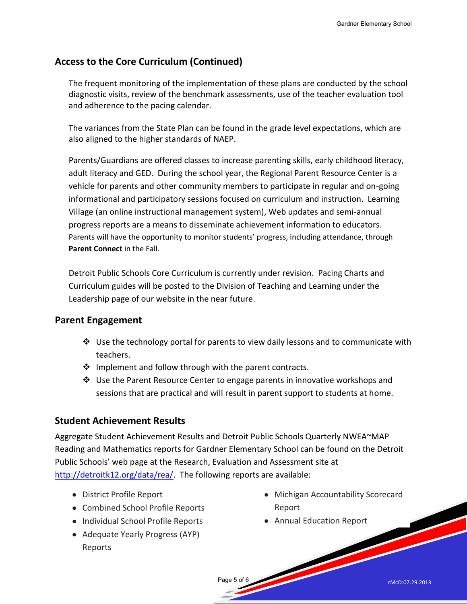## **Access to the Core Curriculum (Continued)**

The frequent monitoring of the implementation of these plans are conducted by the school diagnostic visits, review of the benchmark assessments, use of the teacher evaluation tool and adherence to the pacing calendar.

The variances from the State Plan can be found in the grade level expectations, which are also aligned to the higher standards of NAEP.

Parents/Guardians are offered classes to increase parenting skills, early childhood literacy, adult literacy and GED. During the school year, the Regional Parent Resource Center is a vehicle for parents and other community members to participate in regular and on-going informational and participatory sessions focused on curriculum and instruction. Learning Village (an online instructional management system), Web updates and semi-annual progress reports are a means to disseminate achievement information to educators. Parents will have the opportunity to monitor students' progress, including attendance, through **Parent Connect** in the Fall.

Detroit Public Schools Core Curriculum is currently under revision. Pacing Charts and Curriculum guides will be posted to the Division of Teaching and Learning under the Leadership page of our website in the near future.

## **Parent Engagement**

- $\clubsuit$  Use the technology portal for parents to view daily lessons and to communicate with teachers.
- $\clubsuit$  Implement and follow through with the parent contracts.
- Use the Parent Resource Center to engage parents in innovative workshops and sessions that are practical and will result in parent support to students at home.

## **Student Achievement Results**

Aggregate Student Achievement Results and Detroit Public Schools Quarterly NWEA~MAP Reading and Mathematics reports for Gardner Elementary School can be found on the Detroit Public Schools' web page at the Research, Evaluation and Assessment site at [http://detroitk12.org/data/rea/.](http://detroitk12.org/data/rea/) The following reports are available:

Page 5 of 6

- District Profile Report
- Combined School Profile Reports
- Individual School Profile Reports
- Adequate Yearly Progress (AYP) Reports
- Michigan Accountability Scorecard Report
- Annual Education Report